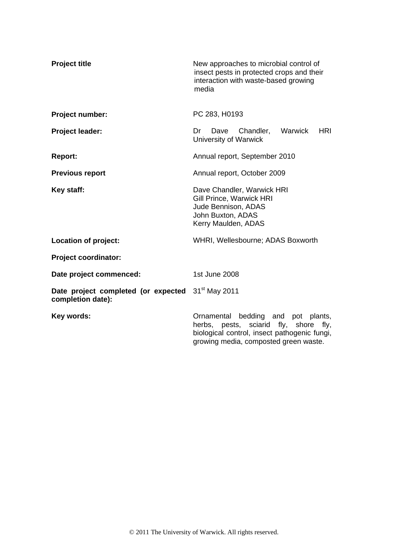| <b>Project title</b>                                     | New approaches to microbial control of<br>insect pests in protected crops and their<br>interaction with waste-based growing<br>media                                          |  |  |
|----------------------------------------------------------|-------------------------------------------------------------------------------------------------------------------------------------------------------------------------------|--|--|
| Project number:                                          | PC 283, H0193                                                                                                                                                                 |  |  |
| <b>Project leader:</b>                                   | Warwick<br><b>HRI</b><br>Dr<br>Dave<br>Chandler,<br>University of Warwick                                                                                                     |  |  |
| <b>Report:</b>                                           | Annual report, September 2010                                                                                                                                                 |  |  |
| <b>Previous report</b>                                   | Annual report, October 2009                                                                                                                                                   |  |  |
| Key staff:                                               | Dave Chandler, Warwick HRI<br>Gill Prince, Warwick HRI<br>Jude Bennison, ADAS<br>John Buxton, ADAS<br>Kerry Maulden, ADAS                                                     |  |  |
| Location of project:                                     | WHRI, Wellesbourne; ADAS Boxworth                                                                                                                                             |  |  |
| <b>Project coordinator:</b>                              |                                                                                                                                                                               |  |  |
| Date project commenced:                                  | 1st June 2008                                                                                                                                                                 |  |  |
| Date project completed (or expected<br>completion date): | 31 <sup>st</sup> May 2011                                                                                                                                                     |  |  |
| Key words:                                               | bedding and<br>Ornamental<br>pot plants,<br>herbs, pests, sciarid fly, shore<br>fly,<br>biological control, insect pathogenic fungi,<br>growing media, composted green waste. |  |  |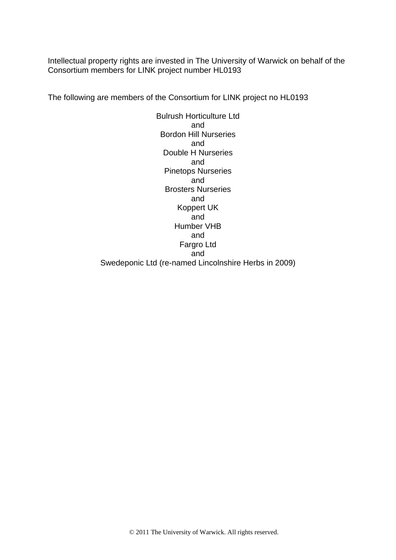Intellectual property rights are invested in The University of Warwick on behalf of the Consortium members for LINK project number HL0193

The following are members of the Consortium for LINK project no HL0193

Bulrush Horticulture Ltd and Bordon Hill Nurseries and Double H Nurseries and Pinetops Nurseries and Brosters Nurseries and Koppert UK and Humber VHB and Fargro Ltd and Swedeponic Ltd (re-named Lincolnshire Herbs in 2009)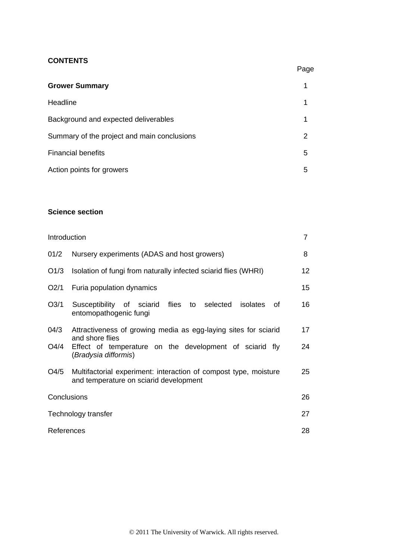## **CONTENTS**

|                                             | Page |
|---------------------------------------------|------|
| <b>Grower Summary</b>                       |      |
| Headline                                    |      |
| Background and expected deliverables        |      |
| Summary of the project and main conclusions | 2    |
| <b>Financial benefits</b>                   | 5    |
| Action points for growers                   | 5    |

## **Science section**

| Introduction     |                                                                                                            | 7  |
|------------------|------------------------------------------------------------------------------------------------------------|----|
| 01/2             | Nursery experiments (ADAS and host growers)                                                                | 8  |
| O <sub>1/3</sub> | Isolation of fungi from naturally infected sciarid flies (WHRI)                                            | 12 |
| O <sub>2/1</sub> | Furia population dynamics                                                                                  | 15 |
| O <sub>3/1</sub> | Susceptibility of sciarid flies to selected<br>isolates<br>of.<br>entomopathogenic fungi                   | 16 |
| 04/3             | Attractiveness of growing media as egg-laying sites for sciarid<br>and shore flies                         | 17 |
| O4/4             | Effect of temperature on the development of sciarid fly<br>(Bradysia difformis)                            | 24 |
| O4/5             | Multifactorial experiment: interaction of compost type, moisture<br>and temperature on sciarid development | 25 |
| Conclusions      |                                                                                                            | 26 |
|                  | Technology transfer                                                                                        | 27 |
| References       |                                                                                                            | 28 |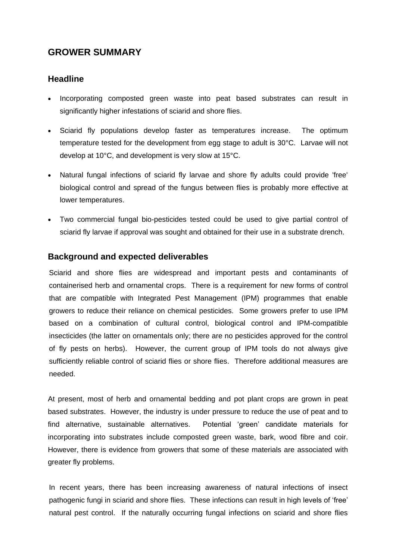# **GROWER SUMMARY**

# **Headline**

- Incorporating composted green waste into peat based substrates can result in significantly higher infestations of sciarid and shore flies.
- Sciarid fly populations develop faster as temperatures increase. The optimum temperature tested for the development from egg stage to adult is 30°C. Larvae will not develop at 10°C, and development is very slow at 15°C.
- Natural fungal infections of sciarid fly larvae and shore fly adults could provide 'free' biological control and spread of the fungus between flies is probably more effective at lower temperatures.
- Two commercial fungal bio-pesticides tested could be used to give partial control of sciarid fly larvae if approval was sought and obtained for their use in a substrate drench.

# **Background and expected deliverables**

Sciarid and shore flies are widespread and important pests and contaminants of containerised herb and ornamental crops. There is a requirement for new forms of control that are compatible with Integrated Pest Management (IPM) programmes that enable growers to reduce their reliance on chemical pesticides. Some growers prefer to use IPM based on a combination of cultural control, biological control and IPM-compatible insecticides (the latter on ornamentals only; there are no pesticides approved for the control of fly pests on herbs). However, the current group of IPM tools do not always give sufficiently reliable control of sciarid flies or shore flies. Therefore additional measures are needed.

At present, most of herb and ornamental bedding and pot plant crops are grown in peat based substrates. However, the industry is under pressure to reduce the use of peat and to find alternative, sustainable alternatives. Potential 'green' candidate materials for incorporating into substrates include composted green waste, bark, wood fibre and coir. However, there is evidence from growers that some of these materials are associated with greater fly problems.

In recent years, there has been increasing awareness of natural infections of insect pathogenic fungi in sciarid and shore flies. These infections can result in high levels of 'free' natural pest control. If the naturally occurring fungal infections on sciarid and shore flies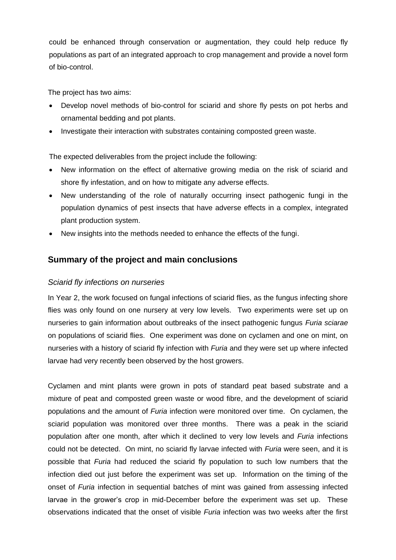could be enhanced through conservation or augmentation, they could help reduce fly populations as part of an integrated approach to crop management and provide a novel form of bio-control.

The project has two aims:

- Develop novel methods of bio-control for sciarid and shore fly pests on pot herbs and ornamental bedding and pot plants.
- Investigate their interaction with substrates containing composted green waste.

The expected deliverables from the project include the following:

- New information on the effect of alternative growing media on the risk of sciarid and shore fly infestation, and on how to mitigate any adverse effects.
- New understanding of the role of naturally occurring insect pathogenic fungi in the population dynamics of pest insects that have adverse effects in a complex, integrated plant production system.
- New insights into the methods needed to enhance the effects of the fungi.

# **Summary of the project and main conclusions**

## *Sciarid fly infections on nurseries*

In Year 2, the work focused on fungal infections of sciarid flies, as the fungus infecting shore flies was only found on one nursery at very low levels. Two experiments were set up on nurseries to gain information about outbreaks of the insect pathogenic fungus *Furia sciarae* on populations of sciarid flies. One experiment was done on cyclamen and one on mint, on nurseries with a history of sciarid fly infection with *Furia* and they were set up where infected larvae had very recently been observed by the host growers.

Cyclamen and mint plants were grown in pots of standard peat based substrate and a mixture of peat and composted green waste or wood fibre, and the development of sciarid populations and the amount of *Furia* infection were monitored over time. On cyclamen, the sciarid population was monitored over three months. There was a peak in the sciarid population after one month, after which it declined to very low levels and *Furia* infections could not be detected. On mint, no sciarid fly larvae infected with *Furia* were seen, and it is possible that *Furia* had reduced the sciarid fly population to such low numbers that the infection died out just before the experiment was set up. Information on the timing of the onset of *Furia* infection in sequential batches of mint was gained from assessing infected larvae in the grower's crop in mid-December before the experiment was set up. These observations indicated that the onset of visible *Furia* infection was two weeks after the first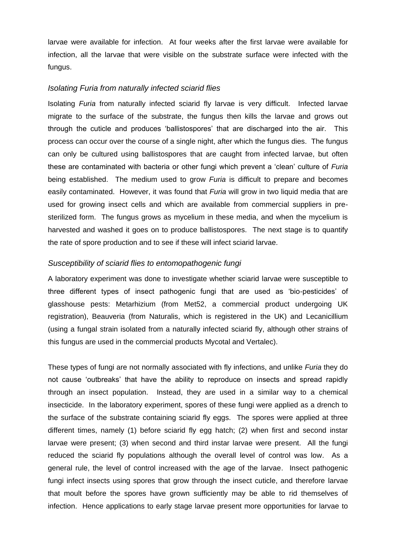larvae were available for infection. At four weeks after the first larvae were available for infection, all the larvae that were visible on the substrate surface were infected with the fungus.

### *Isolating Furia from naturally infected sciarid flies*

Isolating *Furia* from naturally infected sciarid fly larvae is very difficult. Infected larvae migrate to the surface of the substrate, the fungus then kills the larvae and grows out through the cuticle and produces 'ballistospores' that are discharged into the air. This process can occur over the course of a single night, after which the fungus dies. The fungus can only be cultured using ballistospores that are caught from infected larvae, but often these are contaminated with bacteria or other fungi which prevent a 'clean' culture of *Furia* being established. The medium used to grow *Furia* is difficult to prepare and becomes easily contaminated. However, it was found that *Furia* will grow in two liquid media that are used for growing insect cells and which are available from commercial suppliers in presterilized form. The fungus grows as mycelium in these media, and when the mycelium is harvested and washed it goes on to produce ballistospores. The next stage is to quantify the rate of spore production and to see if these will infect sciarid larvae.

### *Susceptibility of sciarid flies to entomopathogenic fungi*

A laboratory experiment was done to investigate whether sciarid larvae were susceptible to three different types of insect pathogenic fungi that are used as 'bio-pesticides' of glasshouse pests: Metarhizium (from Met52, a commercial product undergoing UK registration), Beauveria (from Naturalis, which is registered in the UK) and Lecanicillium (using a fungal strain isolated from a naturally infected sciarid fly, although other strains of this fungus are used in the commercial products Mycotal and Vertalec).

These types of fungi are not normally associated with fly infections, and unlike *Furia* they do not cause 'outbreaks' that have the ability to reproduce on insects and spread rapidly through an insect population. Instead, they are used in a similar way to a chemical insecticide. In the laboratory experiment, spores of these fungi were applied as a drench to the surface of the substrate containing sciarid fly eggs. The spores were applied at three different times, namely (1) before sciarid fly egg hatch; (2) when first and second instar larvae were present; (3) when second and third instar larvae were present. All the fungi reduced the sciarid fly populations although the overall level of control was low. As a general rule, the level of control increased with the age of the larvae. Insect pathogenic fungi infect insects using spores that grow through the insect cuticle, and therefore larvae that moult before the spores have grown sufficiently may be able to rid themselves of infection. Hence applications to early stage larvae present more opportunities for larvae to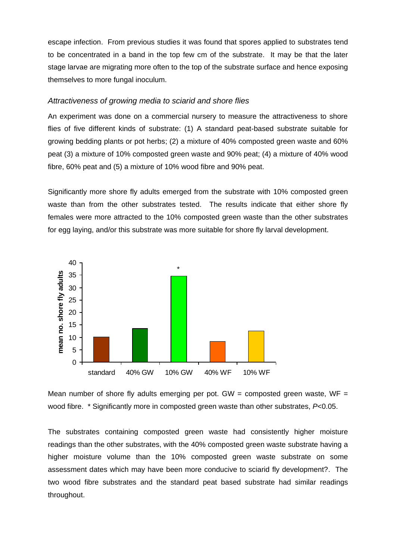escape infection. From previous studies it was found that spores applied to substrates tend to be concentrated in a band in the top few cm of the substrate. It may be that the later stage larvae are migrating more often to the top of the substrate surface and hence exposing themselves to more fungal inoculum.

## *Attractiveness of growing media to sciarid and shore flies*

An experiment was done on a commercial nursery to measure the attractiveness to shore flies of five different kinds of substrate: (1) A standard peat-based substrate suitable for growing bedding plants or pot herbs; (2) a mixture of 40% composted green waste and 60% peat (3) a mixture of 10% composted green waste and 90% peat; (4) a mixture of 40% wood fibre, 60% peat and (5) a mixture of 10% wood fibre and 90% peat.

Significantly more shore fly adults emerged from the substrate with 10% composted green waste than from the other substrates tested. The results indicate that either shore fly females were more attracted to the 10% composted green waste than the other substrates for egg laying, and/or this substrate was more suitable for shore fly larval development.



Mean number of shore fly adults emerging per pot. GW = composted green waste,  $WF =$ wood fibre. \* Significantly more in composted green waste than other substrates, *P*<0.05.

The substrates containing composted green waste had consistently higher moisture readings than the other substrates, with the 40% composted green waste substrate having a higher moisture volume than the 10% composted green waste substrate on some assessment dates which may have been more conducive to sciarid fly development?. The two wood fibre substrates and the standard peat based substrate had similar readings throughout.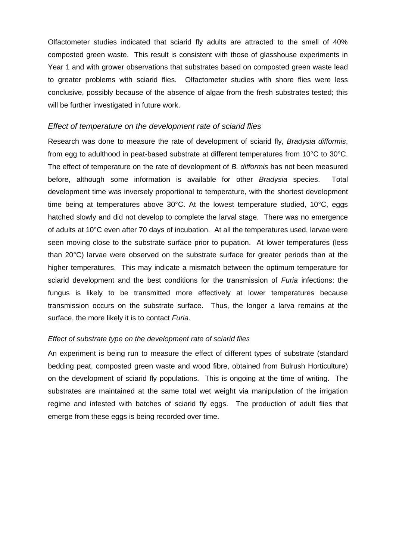Olfactometer studies indicated that sciarid fly adults are attracted to the smell of 40% composted green waste. This result is consistent with those of glasshouse experiments in Year 1 and with grower observations that substrates based on composted green waste lead to greater problems with sciarid flies. Olfactometer studies with shore flies were less conclusive, possibly because of the absence of algae from the fresh substrates tested; this will be further investigated in future work.

### *Effect of temperature on the development rate of sciarid flies*

Research was done to measure the rate of development of sciarid fly, *Bradysia difformis*, from egg to adulthood in peat-based substrate at different temperatures from 10°C to 30°C. The effect of temperature on the rate of development of *B. difformis* has not been measured before, although some information is available for other *Bradysia* species. Total development time was inversely proportional to temperature, with the shortest development time being at temperatures above 30°C. At the lowest temperature studied, 10°C, eggs hatched slowly and did not develop to complete the larval stage. There was no emergence of adults at 10°C even after 70 days of incubation. At all the temperatures used, larvae were seen moving close to the substrate surface prior to pupation. At lower temperatures (less than 20°C) larvae were observed on the substrate surface for greater periods than at the higher temperatures. This may indicate a mismatch between the optimum temperature for sciarid development and the best conditions for the transmission of *Furia* infections: the fungus is likely to be transmitted more effectively at lower temperatures because transmission occurs on the substrate surface. Thus, the longer a larva remains at the surface, the more likely it is to contact *Furia*.

#### *Effect of substrate type on the development rate of sciarid flies*

An experiment is being run to measure the effect of different types of substrate (standard bedding peat, composted green waste and wood fibre, obtained from Bulrush Horticulture) on the development of sciarid fly populations. This is ongoing at the time of writing. The substrates are maintained at the same total wet weight via manipulation of the irrigation regime and infested with batches of sciarid fly eggs. The production of adult flies that emerge from these eggs is being recorded over time.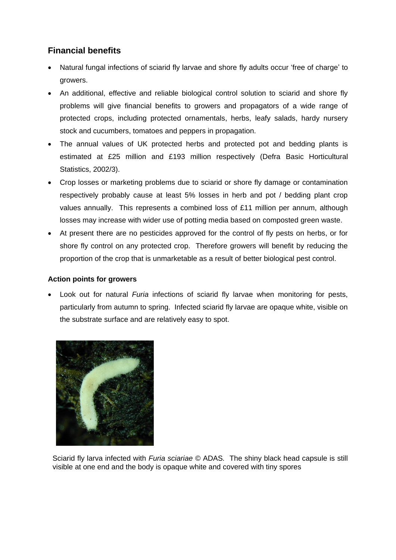# **Financial benefits**

- Natural fungal infections of sciarid fly larvae and shore fly adults occur 'free of charge' to growers.
- An additional, effective and reliable biological control solution to sciarid and shore fly problems will give financial benefits to growers and propagators of a wide range of protected crops, including protected ornamentals, herbs, leafy salads, hardy nursery stock and cucumbers, tomatoes and peppers in propagation.
- The annual values of UK protected herbs and protected pot and bedding plants is estimated at £25 million and £193 million respectively (Defra Basic Horticultural Statistics, 2002/3).
- Crop losses or marketing problems due to sciarid or shore fly damage or contamination respectively probably cause at least 5% losses in herb and pot / bedding plant crop values annually. This represents a combined loss of £11 million per annum, although losses may increase with wider use of potting media based on composted green waste.
- At present there are no pesticides approved for the control of fly pests on herbs, or for shore fly control on any protected crop. Therefore growers will benefit by reducing the proportion of the crop that is unmarketable as a result of better biological pest control.

## **Action points for growers**

 Look out for natural *Furia* infections of sciarid fly larvae when monitoring for pests, particularly from autumn to spring. Infected sciarid fly larvae are opaque white, visible on the substrate surface and are relatively easy to spot.



Sciarid fly larva infected with *Furia sciariae* © ADAS*.* The shiny black head capsule is still visible at one end and the body is opaque white and covered with tiny spores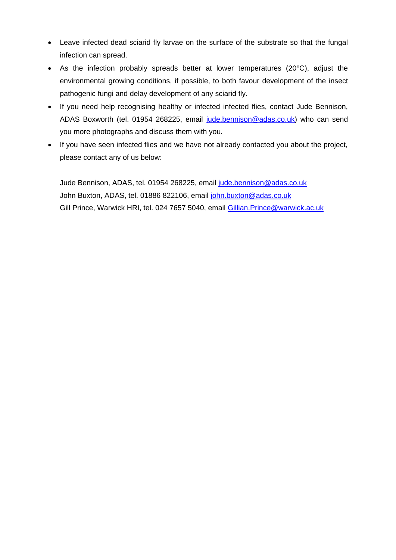- Leave infected dead sciarid fly larvae on the surface of the substrate so that the fungal infection can spread.
- As the infection probably spreads better at lower temperatures (20°C), adjust the environmental growing conditions, if possible, to both favour development of the insect pathogenic fungi and delay development of any sciarid fly.
- If you need help recognising healthy or infected infected flies, contact Jude Bennison, ADAS Boxworth (tel. 01954 268225, email [jude.bennison@adas.co.uk\)](mailto:jude.bennison@adas.co.uk) who can send you more photographs and discuss them with you.
- If you have seen infected flies and we have not already contacted you about the project, please contact any of us below:

Jude Bennison, ADAS, tel. 01954 268225, email [jude.bennison@adas.co.uk](mailto:jude.bennison@adas.co.uk) John Buxton, ADAS, tel. 01886 822106, email [john.buxton@adas.co.uk](mailto:john.buxton@adas.co.uk) Gill Prince, Warwick HRI, tel. 024 7657 5040, email [Gillian.Prince@warwick.ac.uk](mailto:Gillian.Prince@warwick.ac.uk)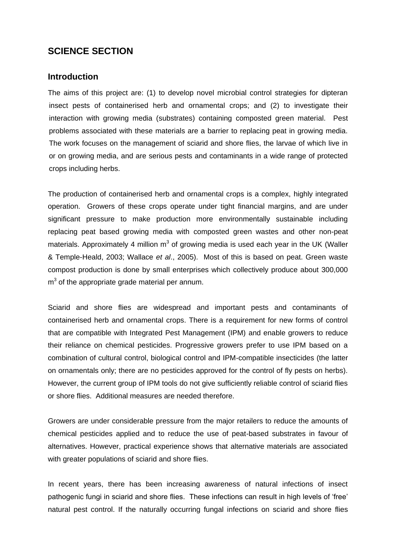# **SCIENCE SECTION**

## **Introduction**

The aims of this project are: (1) to develop novel microbial control strategies for dipteran insect pests of containerised herb and ornamental crops; and (2) to investigate their interaction with growing media (substrates) containing composted green material. Pest problems associated with these materials are a barrier to replacing peat in growing media. The work focuses on the management of sciarid and shore flies, the larvae of which live in or on growing media, and are serious pests and contaminants in a wide range of protected crops including herbs.

The production of containerised herb and ornamental crops is a complex, highly integrated operation. Growers of these crops operate under tight financial margins, and are under significant pressure to make production more environmentally sustainable including replacing peat based growing media with composted green wastes and other non-peat materials. Approximately 4 million  $m^3$  of growing media is used each year in the UK (Waller & Temple-Heald, 2003; Wallace *et al*., 2005). Most of this is based on peat. Green waste compost production is done by small enterprises which collectively produce about 300,000  $m<sup>3</sup>$  of the appropriate grade material per annum.

Sciarid and shore flies are widespread and important pests and contaminants of containerised herb and ornamental crops. There is a requirement for new forms of control that are compatible with Integrated Pest Management (IPM) and enable growers to reduce their reliance on chemical pesticides. Progressive growers prefer to use IPM based on a combination of cultural control, biological control and IPM-compatible insecticides (the latter on ornamentals only; there are no pesticides approved for the control of fly pests on herbs). However, the current group of IPM tools do not give sufficiently reliable control of sciarid flies or shore flies. Additional measures are needed therefore.

Growers are under considerable pressure from the major retailers to reduce the amounts of chemical pesticides applied and to reduce the use of peat-based substrates in favour of alternatives. However, practical experience shows that alternative materials are associated with greater populations of sciarid and shore flies.

In recent years, there has been increasing awareness of natural infections of insect pathogenic fungi in sciarid and shore flies. These infections can result in high levels of 'free' natural pest control. If the naturally occurring fungal infections on sciarid and shore flies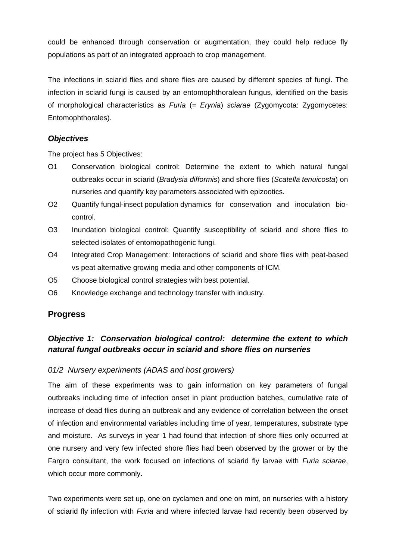could be enhanced through conservation or augmentation, they could help reduce fly populations as part of an integrated approach to crop management.

The infections in sciarid flies and shore flies are caused by different species of fungi. The infection in sciarid fungi is caused by an entomophthoralean fungus, identified on the basis of morphological characteristics as *Furia* (= *Erynia*) *sciarae* (Zygomycota: Zygomycetes: Entomophthorales).

## *Objectives*

The project has 5 Objectives:

- O1 Conservation biological control: Determine the extent to which natural fungal outbreaks occur in sciarid (*Bradysia difformis*) and shore flies (*Scatella tenuicosta*) on nurseries and quantify key parameters associated with epizootics.
- O2 Quantify fungal-insect population dynamics for conservation and inoculation biocontrol.
- O3 Inundation biological control: Quantify susceptibility of sciarid and shore flies to selected isolates of entomopathogenic fungi.
- O4 Integrated Crop Management: Interactions of sciarid and shore flies with peat-based vs peat alternative growing media and other components of ICM.
- O5 Choose biological control strategies with best potential.
- O6 Knowledge exchange and technology transfer with industry.

# **Progress**

# *Objective 1: Conservation biological control: determine the extent to which natural fungal outbreaks occur in sciarid and shore flies on nurseries*

## *01/2 Nursery experiments (ADAS and host growers)*

The aim of these experiments was to gain information on key parameters of fungal outbreaks including time of infection onset in plant production batches, cumulative rate of increase of dead flies during an outbreak and any evidence of correlation between the onset of infection and environmental variables including time of year, temperatures, substrate type and moisture. As surveys in year 1 had found that infection of shore flies only occurred at one nursery and very few infected shore flies had been observed by the grower or by the Fargro consultant, the work focused on infections of sciarid fly larvae with *Furia sciarae*, which occur more commonly.

Two experiments were set up, one on cyclamen and one on mint, on nurseries with a history of sciarid fly infection with *Furia* and where infected larvae had recently been observed by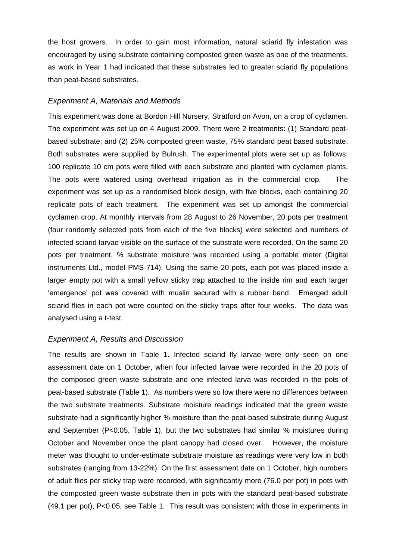the host growers. In order to gain most information, natural sciarid fly infestation was encouraged by using substrate containing composted green waste as one of the treatments, as work in Year 1 had indicated that these substrates led to greater sciarid fly populations than peat-based substrates.

### *Experiment A, Materials and Methods*

This experiment was done at Bordon Hill Nursery, Stratford on Avon, on a crop of cyclamen. The experiment was set up on 4 August 2009. There were 2 treatments: (1) Standard peatbased substrate; and (2) 25% composted green waste, 75% standard peat based substrate. Both substrates were supplied by Bulrush. The experimental plots were set up as follows: 100 replicate 10 cm pots were filled with each substrate and planted with cyclamen plants. The pots were watered using overhead irrigation as in the commercial crop. The experiment was set up as a randomised block design, with five blocks, each containing 20 replicate pots of each treatment. The experiment was set up amongst the commercial cyclamen crop. At monthly intervals from 28 August to 26 November, 20 pots per treatment (four randomly selected pots from each of the five blocks) were selected and numbers of infected sciarid larvae visible on the surface of the substrate were recorded. On the same 20 pots per treatment, % substrate moisture was recorded using a portable meter (Digital instruments Ltd., model PMS-714). Using the same 20 pots, each pot was placed inside a larger empty pot with a small yellow sticky trap attached to the inside rim and each larger 'emergence' pot was covered with muslin secured with a rubber band. Emerged adult sciarid flies in each pot were counted on the sticky traps after four weeks. The data was analysed using a t-test.

### *Experiment A, Results and Discussion*

The results are shown in Table 1. Infected sciarid fly larvae were only seen on one assessment date on 1 October, when four infected larvae were recorded in the 20 pots of the composed green waste substrate and one infected larva was recorded in the pots of peat-based substrate (Table 1). As numbers were so low there were no differences between the two substrate treatments. Substrate moisture readings indicated that the green waste substrate had a significantly higher % moisture than the peat-based substrate during August and September (P<0.05, Table 1), but the two substrates had similar % moistures during October and November once the plant canopy had closed over. However, the moisture meter was thought to under-estimate substrate moisture as readings were very low in both substrates (ranging from 13-22%). On the first assessment date on 1 October, high numbers of adult flies per sticky trap were recorded, with significantly more (76.0 per pot) in pots with the composted green waste substrate then in pots with the standard peat-based substrate (49.1 per pot), P<0.05, see Table 1. This result was consistent with those in experiments in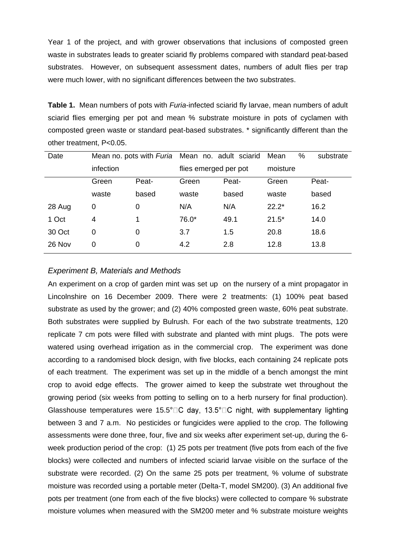Year 1 of the project, and with grower observations that inclusions of composted green waste in substrates leads to greater sciarid fly problems compared with standard peat-based substrates. However, on subsequent assessment dates, numbers of adult flies per trap were much lower, with no significant differences between the two substrates.

**Table 1.** Mean numbers of pots with *Furia*-infected sciarid fly larvae, mean numbers of adult sciarid flies emerging per pot and mean % substrate moisture in pots of cyclamen with composted green waste or standard peat-based substrates. \* significantly different than the other treatment, P<0.05.

| Date   | Mean no. pots with Furia Mean no. adult sciarid |       |                       |       | %<br>Mean | substrate |
|--------|-------------------------------------------------|-------|-----------------------|-------|-----------|-----------|
|        | infection                                       |       | flies emerged per pot |       | moisture  |           |
|        | Green                                           | Peat- | Green                 | Peat- | Green     | Peat-     |
|        | waste                                           | based | waste                 | based | waste     | based     |
| 28 Aug | 0                                               | 0     | N/A                   | N/A   | $22.2*$   | 16.2      |
| 1 Oct  | 4                                               | 1     | 76.0*                 | 49.1  | $21.5*$   | 14.0      |
| 30 Oct | 0                                               | 0     | 3.7                   | 1.5   | 20.8      | 18.6      |
| 26 Nov | 0                                               | 0     | 4.2                   | 2.8   | 12.8      | 13.8      |
|        |                                                 |       |                       |       |           |           |

### *Experiment B, Materials and Methods*

An experiment on a crop of garden mint was set up on the nursery of a mint propagator in Lincolnshire on 16 December 2009. There were 2 treatments: (1) 100% peat based substrate as used by the grower; and (2) 40% composted green waste, 60% peat substrate. Both substrates were supplied by Bulrush. For each of the two substrate treatments, 120 replicate 7 cm pots were filled with substrate and planted with mint plugs. The pots were watered using overhead irrigation as in the commercial crop. The experiment was done according to a randomised block design, with five blocks, each containing 24 replicate pots of each treatment. The experiment was set up in the middle of a bench amongst the mint crop to avoid edge effects. The grower aimed to keep the substrate wet throughout the growing period (six weeks from potting to selling on to a herb nursery for final production). Glasshouse temperatures were 15.5 $^{\circ}$   $\Box$  C day, 13.5 $^{\circ}$   $\Box$  C night, with supplementary lighting between 3 and 7 a.m. No pesticides or fungicides were applied to the crop. The following assessments were done three, four, five and six weeks after experiment set-up, during the 6 week production period of the crop: (1) 25 pots per treatment (five pots from each of the five blocks) were collected and numbers of infected sciarid larvae visible on the surface of the substrate were recorded. (2) On the same 25 pots per treatment, % volume of substrate moisture was recorded using a portable meter (Delta-T, model SM200). (3) An additional five pots per treatment (one from each of the five blocks) were collected to compare % substrate moisture volumes when measured with the SM200 meter and % substrate moisture weights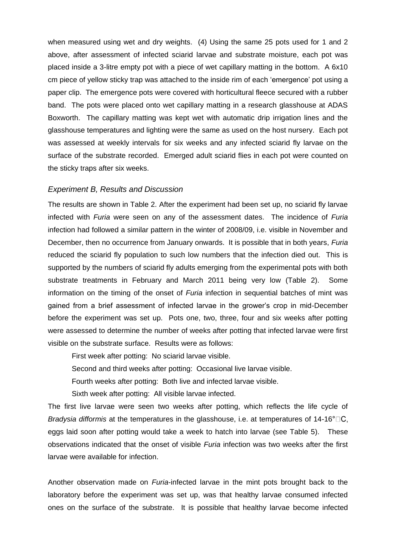when measured using wet and dry weights. (4) Using the same 25 pots used for 1 and 2 above, after assessment of infected sciarid larvae and substrate moisture, each pot was placed inside a 3-litre empty pot with a piece of wet capillary matting in the bottom. A 6x10 cm piece of yellow sticky trap was attached to the inside rim of each 'emergence' pot using a paper clip. The emergence pots were covered with horticultural fleece secured with a rubber band. The pots were placed onto wet capillary matting in a research glasshouse at ADAS Boxworth. The capillary matting was kept wet with automatic drip irrigation lines and the glasshouse temperatures and lighting were the same as used on the host nursery. Each pot was assessed at weekly intervals for six weeks and any infected sciarid fly larvae on the surface of the substrate recorded. Emerged adult sciarid flies in each pot were counted on the sticky traps after six weeks.

#### *Experiment B, Results and Discussion*

The results are shown in Table 2. After the experiment had been set up, no sciarid fly larvae infected with *Furia* were seen on any of the assessment dates. The incidence of *Furia*  infection had followed a similar pattern in the winter of 2008/09, i.e. visible in November and December, then no occurrence from January onwards. It is possible that in both years, *Furia*  reduced the sciarid fly population to such low numbers that the infection died out. This is supported by the numbers of sciarid fly adults emerging from the experimental pots with both substrate treatments in February and March 2011 being very low (Table 2). Some information on the timing of the onset of *Furia* infection in sequential batches of mint was gained from a brief assessment of infected larvae in the grower's crop in mid-December before the experiment was set up. Pots one, two, three, four and six weeks after potting were assessed to determine the number of weeks after potting that infected larvae were first visible on the substrate surface. Results were as follows:

First week after potting: No sciarid larvae visible.

Second and third weeks after potting: Occasional live larvae visible.

Fourth weeks after potting: Both live and infected larvae visible.

Sixth week after potting: All visible larvae infected.

The first live larvae were seen two weeks after potting, which reflects the life cycle of *Bradysia difformis* at the temperatures in the glasshouse, i.e. at temperatures of 14-16°  $\Box$ C, eggs laid soon after potting would take a week to hatch into larvae (see Table 5). These observations indicated that the onset of visible *Furia* infection was two weeks after the first larvae were available for infection.

Another observation made on *Furia*-infected larvae in the mint pots brought back to the laboratory before the experiment was set up, was that healthy larvae consumed infected ones on the surface of the substrate. It is possible that healthy larvae become infected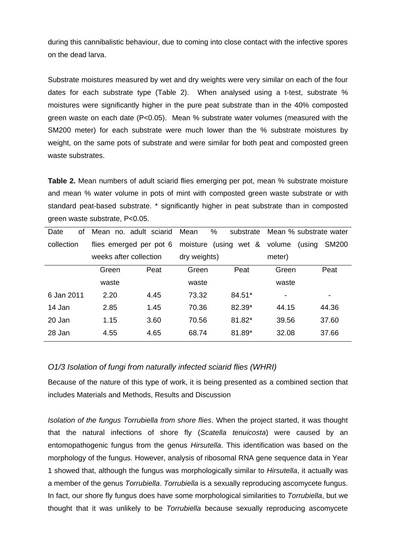during this cannibalistic behaviour, due to coming into close contact with the infective spores on the dead larva.

Substrate moistures measured by wet and dry weights were very similar on each of the four dates for each substrate type (Table 2). When analysed using a t-test, substrate % moistures were significantly higher in the pure peat substrate than in the 40% composted green waste on each date (P<0.05). Mean % substrate water volumes (measured with the SM200 meter) for each substrate were much lower than the % substrate moistures by weight, on the same pots of substrate and were similar for both peat and composted green waste substrates.

**Table 2.** Mean numbers of adult sciarid flies emerging per pot, mean % substrate moisture and mean % water volume in pots of mint with composted green waste substrate or with standard peat-based substrate. \* significantly higher in peat substrate than in composted green waste substrate, P<0.05.

|       |      | Mean                                                                        | substrate |                                      | Mean % substrate water |
|-------|------|-----------------------------------------------------------------------------|-----------|--------------------------------------|------------------------|
|       |      |                                                                             | wet &     | volume                               | <b>SM200</b><br>(using |
|       |      |                                                                             |           | meter)                               |                        |
| Green | Peat | Green                                                                       | Peat      | Green                                | Peat                   |
| waste |      | waste                                                                       |           | waste                                |                        |
| 2.20  | 4.45 | 73.32                                                                       | $84.51*$  | $\overline{\phantom{a}}$             | -                      |
| 2.85  | 1.45 | 70.36                                                                       | 82.39*    | 44.15                                | 44.36                  |
| 1.15  | 3.60 | 70.56                                                                       | 81.82*    | 39.56                                | 37.60                  |
| 4.55  | 4.65 | 68.74                                                                       | 81.89*    | 32.08                                | 37.66                  |
|       |      | Mean no. adult sciarid<br>flies emerged per pot 6<br>weeks after collection |           | %<br>moisture (using<br>dry weights) |                        |

### *O1/3 Isolation of fungi from naturally infected sciarid flies (WHRI)*

Because of the nature of this type of work, it is being presented as a combined section that includes Materials and Methods, Results and Discussion

*Isolation of the fungus Torrubiella from shore flies*. When the project started, it was thought that the natural infections of shore fly (*Scatella tenuicosta*) were caused by an entomopathogenic fungus from the genus *Hirsutella*. This identification was based on the morphology of the fungus. However, analysis of ribosomal RNA gene sequence data in Year 1 showed that, although the fungus was morphologically similar to *Hirsutella*, it actually was a member of the genus *Torrubiella*. *Torrubiella* is a sexually reproducing ascomycete fungus. In fact, our shore fly fungus does have some morphological similarities to *Torrubiella*, but we thought that it was unlikely to be *Torrubiella* because sexually reproducing ascomycete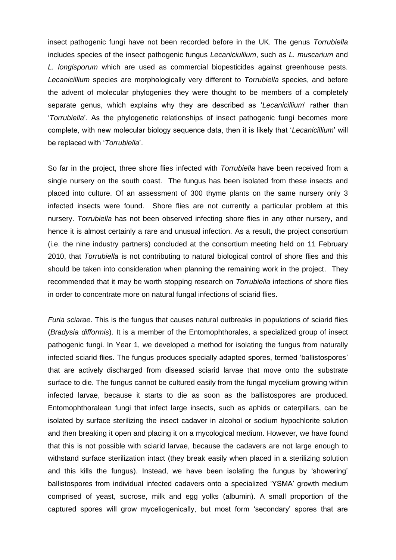insect pathogenic fungi have not been recorded before in the UK. The genus *Torrubiella* includes species of the insect pathogenic fungus *Lecaniciullium*, such as *L. muscarium* and *L. longisporum* which are used as commercial biopesticides against greenhouse pests. *Lecanicillium* species are morphologically very different to *Torrubiella* species, and before the advent of molecular phylogenies they were thought to be members of a completely separate genus, which explains why they are described as '*Lecanicillium*' rather than '*Torrubiella*'. As the phylogenetic relationships of insect pathogenic fungi becomes more complete, with new molecular biology sequence data, then it is likely that '*Lecanicillium*' will be replaced with '*Torrubiella*'.

So far in the project, three shore flies infected with *Torrubiella* have been received from a single nursery on the south coast. The fungus has been isolated from these insects and placed into culture. Of an assessment of 300 thyme plants on the same nursery only 3 infected insects were found. Shore flies are not currently a particular problem at this nursery. *Torrubiella* has not been observed infecting shore flies in any other nursery, and hence it is almost certainly a rare and unusual infection. As a result, the project consortium (i.e. the nine industry partners) concluded at the consortium meeting held on 11 February 2010, that *Torrubiella* is not contributing to natural biological control of shore flies and this should be taken into consideration when planning the remaining work in the project. They recommended that it may be worth stopping research on *Torrubiella* infections of shore flies in order to concentrate more on natural fungal infections of sciarid flies.

*Furia sciarae*. This is the fungus that causes natural outbreaks in populations of sciarid flies (*Bradysia difformis*). It is a member of the Entomophthorales, a specialized group of insect pathogenic fungi. In Year 1, we developed a method for isolating the fungus from naturally infected sciarid flies. The fungus produces specially adapted spores, termed 'ballistospores' that are actively discharged from diseased sciarid larvae that move onto the substrate surface to die. The fungus cannot be cultured easily from the fungal mycelium growing within infected larvae, because it starts to die as soon as the ballistospores are produced. Entomophthoralean fungi that infect large insects, such as aphids or caterpillars, can be isolated by surface sterilizing the insect cadaver in alcohol or sodium hypochlorite solution and then breaking it open and placing it on a mycological medium. However, we have found that this is not possible with sciarid larvae, because the cadavers are not large enough to withstand surface sterilization intact (they break easily when placed in a sterilizing solution and this kills the fungus). Instead, we have been isolating the fungus by 'showering' ballistospores from individual infected cadavers onto a specialized 'YSMA' growth medium comprised of yeast, sucrose, milk and egg yolks (albumin). A small proportion of the captured spores will grow myceliogenically, but most form 'secondary' spores that are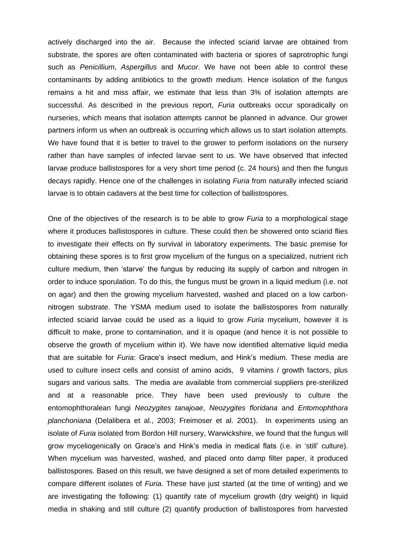actively discharged into the air. Because the infected sciarid larvae are obtained from substrate, the spores are often contaminated with bacteria or spores of saprotrophic fungi such as *Penicillium*, *Aspergillus* and *Mucor*. We have not been able to control these contaminants by adding antibiotics to the growth medium. Hence isolation of the fungus remains a hit and miss affair, we estimate that less than 3% of isolation attempts are successful. As described in the previous report, *Furia* outbreaks occur sporadically on nurseries, which means that isolation attempts cannot be planned in advance. Our grower partners inform us when an outbreak is occurring which allows us to start isolation attempts. We have found that it is better to travel to the grower to perform isolations on the nursery rather than have samples of infected larvae sent to us. We have observed that infected larvae produce ballistospores for a very short time period (c. 24 hours) and then the fungus decays rapidly. Hence one of the challenges in isolating *Furia* from naturally infected sciarid larvae is to obtain cadavers at the best time for collection of ballistospores.

One of the objectives of the research is to be able to grow *Furia* to a morphological stage where it produces ballistospores in culture. These could then be showered onto sciarid flies to investigate their effects on fly survival in laboratory experiments. The basic premise for obtaining these spores is to first grow mycelium of the fungus on a specialized, nutrient rich culture medium, then 'starve' the fungus by reducing its supply of carbon and nitrogen in order to induce sporulation. To do this, the fungus must be grown in a liquid medium (i.e. not on agar) and then the growing mycelium harvested, washed and placed on a low carbonnitrogen substrate. The YSMA medium used to isolate the ballistospores from naturally infected sciarid larvae could be used as a liquid to grow *Furia* mycelium, however it is difficult to make, prone to contamination, and it is opaque (and hence it is not possible to observe the growth of mycelium within it). We have now identified alternative liquid media that are suitable for *Furia*: Grace's insect medium, and Hink's medium. These media are used to culture insect cells and consist of amino acids, 9 vitamins / growth factors, plus sugars and various salts. The media are available from commercial suppliers pre-sterilized and at a reasonable price. They have been used previously to culture the entomophthoralean fungi *Neozygites tanajoae*, *Neozygites floridana* and *Entomophthora planchoniana* (Delalibera et al., 2003; Freimoser et al. 2001). In experiments using an isolate of *Furia* isolated from Bordon Hill nursery, Warwickshire, we found that the fungus will grow myceliogenically on Grace's and Hink's media in medical flats (i.e. in 'still' culture). When mycelium was harvested, washed, and placed onto damp filter paper, it produced ballistospores. Based on this result, we have designed a set of more detailed experiments to compare different isolates of *Furia*. These have just started (at the time of writing) and we are investigating the following: (1) quantify rate of mycelium growth (dry weight) in liquid media in shaking and still culture (2) quantify production of ballistospores from harvested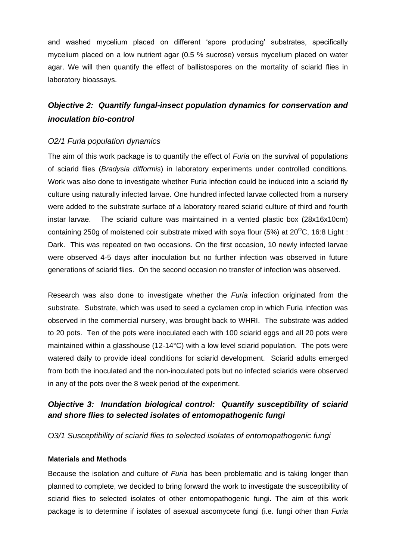and washed mycelium placed on different 'spore producing' substrates, specifically mycelium placed on a low nutrient agar (0.5 % sucrose) versus mycelium placed on water agar. We will then quantify the effect of ballistospores on the mortality of sciarid flies in laboratory bioassays.

# *Objective 2: Quantify fungal-insect population dynamics for conservation and inoculation bio-control*

## *O2/1 Furia population dynamics*

The aim of this work package is to quantify the effect of *Furia* on the survival of populations of sciarid flies (*Bradysia difformis*) in laboratory experiments under controlled conditions. Work was also done to investigate whether Furia infection could be induced into a sciarid fly culture using naturally infected larvae. One hundred infected larvae collected from a nursery were added to the substrate surface of a laboratory reared sciarid culture of third and fourth instar larvae. The sciarid culture was maintained in a vented plastic box (28x16x10cm) containing 250g of moistened coir substrate mixed with soya flour (5%) at  $20^{\circ}$ C, 16:8 Light : Dark. This was repeated on two occasions. On the first occasion, 10 newly infected larvae were observed 4-5 days after inoculation but no further infection was observed in future generations of sciarid flies. On the second occasion no transfer of infection was observed.

Research was also done to investigate whether the *Furia* infection originated from the substrate. Substrate, which was used to seed a cyclamen crop in which Furia infection was observed in the commercial nursery, was brought back to WHRI. The substrate was added to 20 pots. Ten of the pots were inoculated each with 100 sciarid eggs and all 20 pots were maintained within a glasshouse (12-14°C) with a low level sciarid population. The pots were watered daily to provide ideal conditions for sciarid development. Sciarid adults emerged from both the inoculated and the non-inoculated pots but no infected sciarids were observed in any of the pots over the 8 week period of the experiment.

# *Objective 3: Inundation biological control: Quantify susceptibility of sciarid and shore flies to selected isolates of entomopathogenic fungi*

*O3/1 Susceptibility of sciarid flies to selected isolates of entomopathogenic fungi*

### **Materials and Methods**

Because the isolation and culture of *Furia* has been problematic and is taking longer than planned to complete, we decided to bring forward the work to investigate the susceptibility of sciarid flies to selected isolates of other entomopathogenic fungi. The aim of this work package is to determine if isolates of asexual ascomycete fungi (i.e. fungi other than *Furia*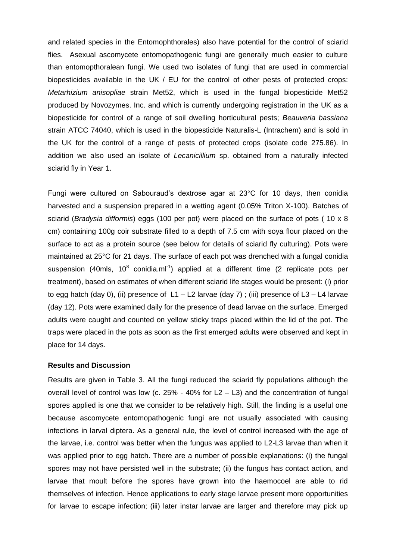and related species in the Entomophthorales) also have potential for the control of sciarid flies. Asexual ascomycete entomopathogenic fungi are generally much easier to culture than entomopthoralean fungi. We used two isolates of fungi that are used in commercial biopesticides available in the UK / EU for the control of other pests of protected crops: *Metarhizium anisopliae* strain Met52, which is used in the fungal biopesticide Met52 produced by Novozymes. Inc. and which is currently undergoing registration in the UK as a biopesticide for control of a range of soil dwelling horticultural pests; *Beauveria bassiana* strain ATCC 74040, which is used in the biopesticide Naturalis-L (Intrachem) and is sold in the UK for the control of a range of pests of protected crops (isolate code 275.86). In addition we also used an isolate of *Lecanicillium* sp. obtained from a naturally infected sciarid fly in Year 1.

Fungi were cultured on Sabouraud's dextrose agar at 23°C for 10 days, then conidia harvested and a suspension prepared in a wetting agent (0.05% Triton X-100). Batches of sciarid (*Bradysia difformis*) eggs (100 per pot) were placed on the surface of pots ( 10 x 8 cm) containing 100g coir substrate filled to a depth of 7.5 cm with soya flour placed on the surface to act as a protein source (see below for details of sciarid fly culturing). Pots were maintained at 25°C for 21 days. The surface of each pot was drenched with a fungal conidia suspension (40mls, 10<sup>8</sup> conidia.ml<sup>-1</sup>) applied at a different time (2 replicate pots per treatment), based on estimates of when different sciarid life stages would be present: (i) prior to egg hatch (day 0), (ii) presence of  $L1 - L2$  larvae (day 7); (iii) presence of  $L3 - L4$  larvae (day 12). Pots were examined daily for the presence of dead larvae on the surface. Emerged adults were caught and counted on yellow sticky traps placed within the lid of the pot. The traps were placed in the pots as soon as the first emerged adults were observed and kept in place for 14 days.

#### **Results and Discussion**

Results are given in Table 3. All the fungi reduced the sciarid fly populations although the overall level of control was low (c.  $25\%$  - 40% for L2 – L3) and the concentration of fungal spores applied is one that we consider to be relatively high. Still, the finding is a useful one because ascomycete entomopathogenic fungi are not usually associated with causing infections in larval diptera. As a general rule, the level of control increased with the age of the larvae, i.e. control was better when the fungus was applied to L2-L3 larvae than when it was applied prior to egg hatch. There are a number of possible explanations: (i) the fungal spores may not have persisted well in the substrate; (ii) the fungus has contact action, and larvae that moult before the spores have grown into the haemocoel are able to rid themselves of infection. Hence applications to early stage larvae present more opportunities for larvae to escape infection; (iii) later instar larvae are larger and therefore may pick up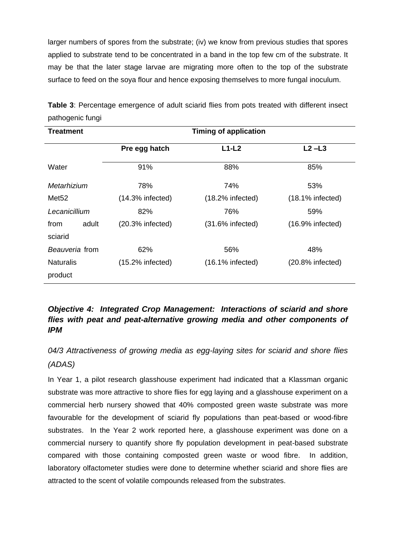larger numbers of spores from the substrate; (iv) we know from previous studies that spores applied to substrate tend to be concentrated in a band in the top few cm of the substrate. It may be that the later stage larvae are migrating more often to the top of the substrate surface to feed on the soya flour and hence exposing themselves to more fungal inoculum.

| <b>Treatment</b>  |       |                     | <b>Timing of application</b>               |                     |
|-------------------|-------|---------------------|--------------------------------------------|---------------------|
|                   |       | Pre egg hatch       | $L1-L2$                                    | $L2 - L3$           |
| Water             |       | 91%                 | 88%                                        | 85%                 |
| Metarhizium       |       | 78%                 | 74%                                        | 53%                 |
| Met <sub>52</sub> |       | $(14.3\%$ infected) | $(18.2\%$ infected)<br>$(18.1\%$ infected) |                     |
| Lecanicillium     |       | 82%                 | 76%                                        | 59%                 |
| from              | adult | $(20.3%$ infected)  | $(31.6\%$ infected)                        | $(16.9\%$ infected) |
| sciarid           |       |                     |                                            |                     |
| Beauveria from    |       | 62%                 | 56%                                        | 48%                 |
| <b>Naturalis</b>  |       | $(15.2\%$ infected) | $(16.1\%$ infected)                        | $(20.8\%$ infected) |
| product           |       |                     |                                            |                     |

**Table 3**: Percentage emergence of adult sciarid flies from pots treated with different insect pathogenic fungi

# *Objective 4: Integrated Crop Management: Interactions of sciarid and shore flies with peat and peat-alternative growing media and other components of IPM*

*04/3 Attractiveness of growing media as egg-laying sites for sciarid and shore flies (ADAS)*

In Year 1, a pilot research glasshouse experiment had indicated that a Klassman organic substrate was more attractive to shore flies for egg laying and a glasshouse experiment on a commercial herb nursery showed that 40% composted green waste substrate was more favourable for the development of sciarid fly populations than peat-based or wood-fibre substrates. In the Year 2 work reported here, a glasshouse experiment was done on a commercial nursery to quantify shore fly population development in peat-based substrate compared with those containing composted green waste or wood fibre. In addition, laboratory olfactometer studies were done to determine whether sciarid and shore flies are attracted to the scent of volatile compounds released from the substrates.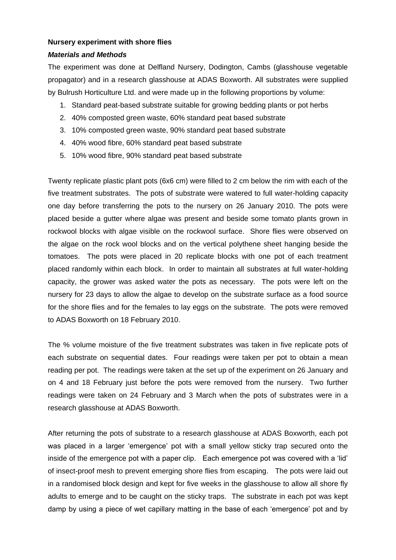### **Nursery experiment with shore flies**

### *Materials and Methods*

The experiment was done at Delfland Nursery, Dodington, Cambs (glasshouse vegetable propagator) and in a research glasshouse at ADAS Boxworth. All substrates were supplied by Bulrush Horticulture Ltd. and were made up in the following proportions by volume:

- 1. Standard peat-based substrate suitable for growing bedding plants or pot herbs
- 2. 40% composted green waste, 60% standard peat based substrate
- 3. 10% composted green waste, 90% standard peat based substrate
- 4. 40% wood fibre, 60% standard peat based substrate
- 5. 10% wood fibre, 90% standard peat based substrate

Twenty replicate plastic plant pots (6x6 cm) were filled to 2 cm below the rim with each of the five treatment substrates. The pots of substrate were watered to full water-holding capacity one day before transferring the pots to the nursery on 26 January 2010. The pots were placed beside a gutter where algae was present and beside some tomato plants grown in rockwool blocks with algae visible on the rockwool surface. Shore flies were observed on the algae on the rock wool blocks and on the vertical polythene sheet hanging beside the tomatoes. The pots were placed in 20 replicate blocks with one pot of each treatment placed randomly within each block. In order to maintain all substrates at full water-holding capacity, the grower was asked water the pots as necessary. The pots were left on the nursery for 23 days to allow the algae to develop on the substrate surface as a food source for the shore flies and for the females to lay eggs on the substrate. The pots were removed to ADAS Boxworth on 18 February 2010.

The % volume moisture of the five treatment substrates was taken in five replicate pots of each substrate on sequential dates. Four readings were taken per pot to obtain a mean reading per pot. The readings were taken at the set up of the experiment on 26 January and on 4 and 18 February just before the pots were removed from the nursery. Two further readings were taken on 24 February and 3 March when the pots of substrates were in a research glasshouse at ADAS Boxworth.

After returning the pots of substrate to a research glasshouse at ADAS Boxworth, each pot was placed in a larger 'emergence' pot with a small yellow sticky trap secured onto the inside of the emergence pot with a paper clip. Each emergence pot was covered with a 'lid' of insect-proof mesh to prevent emerging shore flies from escaping. The pots were laid out in a randomised block design and kept for five weeks in the glasshouse to allow all shore fly adults to emerge and to be caught on the sticky traps. The substrate in each pot was kept damp by using a piece of wet capillary matting in the base of each 'emergence' pot and by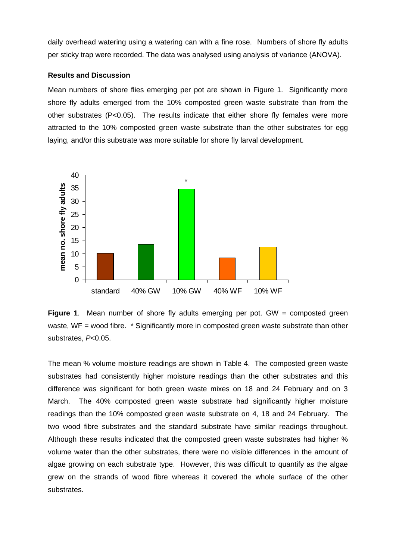daily overhead watering using a watering can with a fine rose. Numbers of shore fly adults per sticky trap were recorded. The data was analysed using analysis of variance (ANOVA).

#### **Results and Discussion**

Mean numbers of shore flies emerging per pot are shown in Figure 1. Significantly more shore fly adults emerged from the 10% composted green waste substrate than from the other substrates  $(P<0.05)$ . The results indicate that either shore fly females were more attracted to the 10% composted green waste substrate than the other substrates for egg laying, and/or this substrate was more suitable for shore fly larval development.



**Figure 1.** Mean number of shore fly adults emerging per pot. GW = composted green waste, WF = wood fibre. \* Significantly more in composted green waste substrate than other substrates, *P*<0.05.

The mean % volume moisture readings are shown in Table 4. The composted green waste substrates had consistently higher moisture readings than the other substrates and this difference was significant for both green waste mixes on 18 and 24 February and on 3 March. The 40% composted green waste substrate had significantly higher moisture readings than the 10% composted green waste substrate on 4, 18 and 24 February. The two wood fibre substrates and the standard substrate have similar readings throughout. Although these results indicated that the composted green waste substrates had higher % volume water than the other substrates, there were no visible differences in the amount of algae growing on each substrate type. However, this was difficult to quantify as the algae grew on the strands of wood fibre whereas it covered the whole surface of the other substrates.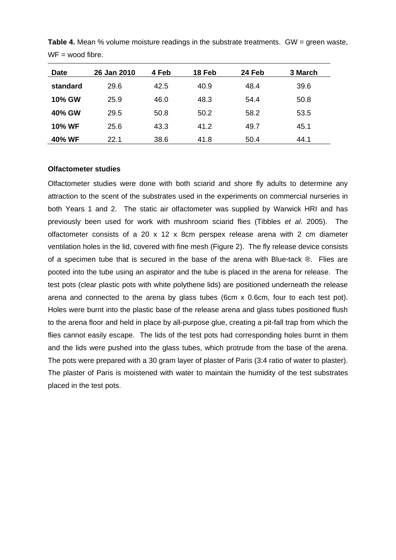| <b>Date</b>   | 26 Jan 2010 | 4 Feb | 18 Feb | 24 Feb | 3 March |
|---------------|-------------|-------|--------|--------|---------|
| standard      | 29.6        | 42.5  | 40.9   | 48.4   | 39.6    |
| <b>10% GW</b> | 25.9        | 46.0  | 48.3   | 54.4   | 50.8    |
| 40% GW        | 29.5        | 50.8  | 50.2   | 58.2   | 53.5    |
| <b>10% WF</b> | 25.6        | 43.3  | 41.2   | 49.7   | 45.1    |
| 40% WF        | 22.1        | 38.6  | 41.8   | 50.4   | 44.1    |

**Table 4.** Mean % volume moisture readings in the substrate treatments. GW = green waste,  $WF =$  wood fibre.

#### **Olfactometer studies**

Olfactometer studies were done with both sciarid and shore fly adults to determine any attraction to the scent of the substrates used in the experiments on commercial nurseries in both Years 1 and 2. The static air olfactometer was supplied by Warwick HRI and has previously been used for work with mushroom sciarid flies (Tibbles *et al*. 2005). The olfactometer consists of a 20 x 12 x 8cm perspex release arena with 2 cm diameter ventilation holes in the lid, covered with fine mesh (Figure 2). The fly release device consists of a specimen tube that is secured in the base of the arena with Blue-tack ®. Flies are pooted into the tube using an aspirator and the tube is placed in the arena for release. The test pots (clear plastic pots with white polythene lids) are positioned underneath the release arena and connected to the arena by glass tubes (6cm x 0.6cm, four to each test pot). Holes were burnt into the plastic base of the release arena and glass tubes positioned flush to the arena floor and held in place by all-purpose glue, creating a pit-fall trap from which the flies cannot easily escape. The lids of the test pots had corresponding holes burnt in them and the lids were pushed into the glass tubes, which protrude from the base of the arena. The pots were prepared with a 30 gram layer of plaster of Paris (3:4 ratio of water to plaster). The plaster of Paris is moistened with water to maintain the humidity of the test substrates placed in the test pots.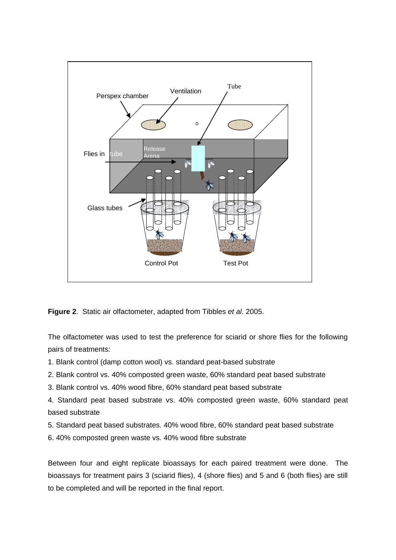

**Figure 2**. Static air olfactometer, adapted from Tibbles *et al*. 2005.

The olfactometer was used to test the preference for sciarid or shore flies for the following pairs of treatments:

1. Blank control (damp cotton wool) vs. standard peat-based substrate

2. Blank control vs. 40% composted green waste, 60% standard peat based substrate

3. Blank control vs. 40% wood fibre, 60% standard peat based substrate

4. Standard peat based substrate vs. 40% composted green waste, 60% standard peat based substrate

5. Standard peat based substrates. 40% wood fibre, 60% standard peat based substrate

6. 40% composted green waste vs. 40% wood fibre substrate

Between four and eight replicate bioassays for each paired treatment were done. The bioassays for treatment pairs 3 (sciarid flies), 4 (shore flies) and 5 and 6 (both flies) are still to be completed and will be reported in the final report.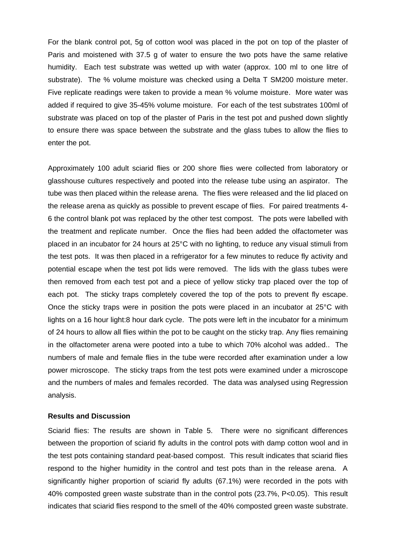For the blank control pot, 5g of cotton wool was placed in the pot on top of the plaster of Paris and moistened with 37.5 g of water to ensure the two pots have the same relative humidity. Each test substrate was wetted up with water (approx. 100 ml to one litre of substrate). The % volume moisture was checked using a Delta T SM200 moisture meter. Five replicate readings were taken to provide a mean % volume moisture. More water was added if required to give 35-45% volume moisture. For each of the test substrates 100ml of substrate was placed on top of the plaster of Paris in the test pot and pushed down slightly to ensure there was space between the substrate and the glass tubes to allow the flies to enter the pot.

Approximately 100 adult sciarid flies or 200 shore flies were collected from laboratory or glasshouse cultures respectively and pooted into the release tube using an aspirator. The tube was then placed within the release arena. The flies were released and the lid placed on the release arena as quickly as possible to prevent escape of flies. For paired treatments 4- 6 the control blank pot was replaced by the other test compost. The pots were labelled with the treatment and replicate number. Once the flies had been added the olfactometer was placed in an incubator for 24 hours at 25°C with no lighting, to reduce any visual stimuli from the test pots. It was then placed in a refrigerator for a few minutes to reduce fly activity and potential escape when the test pot lids were removed. The lids with the glass tubes were then removed from each test pot and a piece of yellow sticky trap placed over the top of each pot. The sticky traps completely covered the top of the pots to prevent fly escape. Once the sticky traps were in position the pots were placed in an incubator at 25°C with lights on a 16 hour light:8 hour dark cycle. The pots were left in the incubator for a minimum of 24 hours to allow all flies within the pot to be caught on the sticky trap. Any flies remaining in the olfactometer arena were pooted into a tube to which 70% alcohol was added.. The numbers of male and female flies in the tube were recorded after examination under a low power microscope. The sticky traps from the test pots were examined under a microscope and the numbers of males and females recorded. The data was analysed using Regression analysis.

#### **Results and Discussion**

Sciarid flies: The results are shown in Table 5. There were no significant differences between the proportion of sciarid fly adults in the control pots with damp cotton wool and in the test pots containing standard peat-based compost. This result indicates that sciarid flies respond to the higher humidity in the control and test pots than in the release arena. A significantly higher proportion of sciarid fly adults (67.1%) were recorded in the pots with 40% composted green waste substrate than in the control pots (23.7%, P<0.05). This result indicates that sciarid flies respond to the smell of the 40% composted green waste substrate.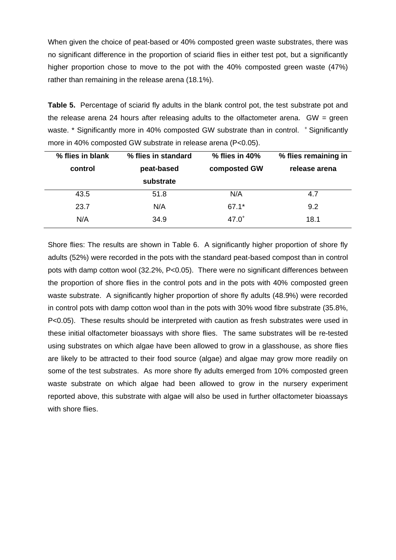When given the choice of peat-based or 40% composted green waste substrates, there was no significant difference in the proportion of sciarid flies in either test pot, but a significantly higher proportion chose to move to the pot with the 40% composted green waste (47%) rather than remaining in the release arena (18.1%).

**Table 5.** Percentage of sciarid fly adults in the blank control pot, the test substrate pot and the release arena 24 hours after releasing adults to the olfactometer arena.  $GW = green$ waste. \* Significantly more in 40% composted GW substrate than in control. + Significantly more in 40% composted GW substrate in release arena (P<0.05).

| % flies in blank | % flies in standard | $%$ flies in 40% | % flies remaining in |
|------------------|---------------------|------------------|----------------------|
| control          | peat-based          | composted GW     | release arena        |
|                  | substrate           |                  |                      |
| 43.5             | 51.8                | N/A              | 4.7                  |
| 23.7             | N/A                 | $67.1*$          | 9.2                  |
| N/A              | 34.9                | $47.0^{+}$       | 18.1                 |

Shore flies: The results are shown in Table 6. A significantly higher proportion of shore fly adults (52%) were recorded in the pots with the standard peat-based compost than in control pots with damp cotton wool (32.2%, P<0.05). There were no significant differences between the proportion of shore flies in the control pots and in the pots with 40% composted green waste substrate. A significantly higher proportion of shore fly adults (48.9%) were recorded in control pots with damp cotton wool than in the pots with 30% wood fibre substrate (35.8%, P<0.05). These results should be interpreted with caution as fresh substrates were used in these initial olfactometer bioassays with shore flies. The same substrates will be re-tested using substrates on which algae have been allowed to grow in a glasshouse, as shore flies are likely to be attracted to their food source (algae) and algae may grow more readily on some of the test substrates. As more shore fly adults emerged from 10% composted green waste substrate on which algae had been allowed to grow in the nursery experiment reported above, this substrate with algae will also be used in further olfactometer bioassays with shore flies.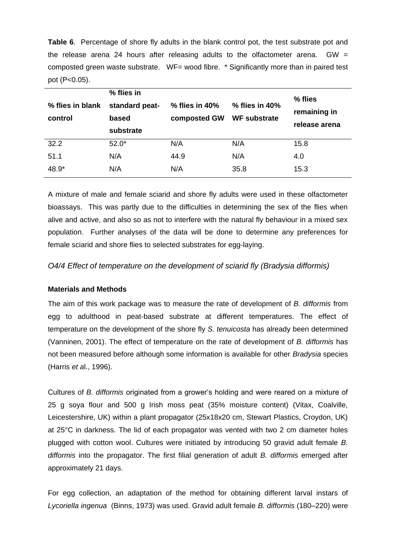**Table 6**. Percentage of shore fly adults in the blank control pot, the test substrate pot and the release arena 24 hours after releasing adults to the olfactometer arena.  $GW =$ composted green waste substrate. WF= wood fibre. \* Significantly more than in paired test pot (P<0.05).

| % flies in blank<br>control | % flies in<br>standard peat-<br>based<br>substrate | $%$ flies in 40%<br>composted GW | $%$ flies in 40%<br><b>WF substrate</b> | % flies<br>remaining in<br>release arena |
|-----------------------------|----------------------------------------------------|----------------------------------|-----------------------------------------|------------------------------------------|
| 32.2                        | $52.0*$                                            | N/A                              | N/A                                     | 15.8                                     |
| 51.1                        | N/A                                                | 44.9                             | N/A                                     | 4.0                                      |
| 48.9*                       | N/A                                                | N/A                              | 35.8                                    | 15.3                                     |

A mixture of male and female sciarid and shore fly adults were used in these olfactometer bioassays. This was partly due to the difficulties in determining the sex of the flies when alive and active, and also so as not to interfere with the natural fly behaviour in a mixed sex population. Further analyses of the data will be done to determine any preferences for female sciarid and shore flies to selected substrates for egg-laying.

*O4/4 Effect of temperature on the development of sciarid fly (Bradysia difformis)*

## **Materials and Methods**

The aim of this work package was to measure the rate of development of *B. difformis* from egg to adulthood in peat-based substrate at different temperatures. The effect of temperature on the development of the shore fly *S. tenuicosta* has already been determined (Vanninen, 2001). The effect of temperature on the rate of development of *B. difformis* has not been measured before although some information is available for other *Bradysia* species (Harris *et a*l., 1996).

Cultures of *B. difformis* originated from a grower's holding and were reared on a mixture of 25 g soya flour and 500 g Irish moss peat (35% moisture content) (Vitax, Coalville, Leicestershire, UK) within a plant propagator (25x18x20 cm, Stewart Plastics, Croydon, UK) at 25°C in darkness. The lid of each propagator was vented with two 2 cm diameter holes plugged with cotton wool. Cultures were initiated by introducing 50 gravid adult female *B. difformis* into the propagator. The first filial generation of adult *B. difformis* emerged after approximately 21 days.

For egg collection, an adaptation of the method for obtaining different larval instars of *Lycoriella ingenua* (Binns, 1973) was used. Gravid adult female *B. difformis* (180–220) were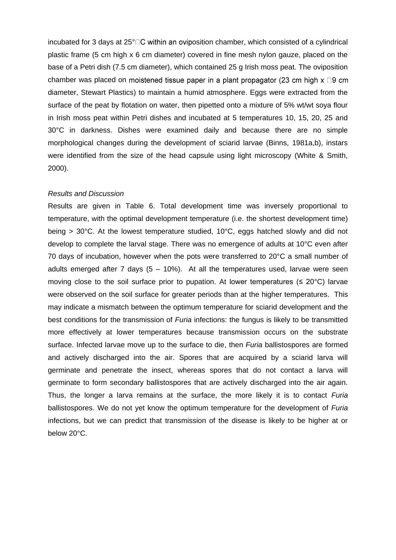incubated for 3 days at  $25^{\circ}$  C within an oviposition chamber, which consisted of a cylindrical plastic frame (5 cm high x 6 cm diameter) covered in fine mesh nylon gauze, placed on the base of a Petri dish (7.5 cm diameter), which contained 25 g Irish moss peat. The oviposition chamber was placed on moistened tissue paper in a plant propagator (23 cm high  $x \Box 9$  cm diameter, Stewart Plastics) to maintain a humid atmosphere. Eggs were extracted from the surface of the peat by flotation on water, then pipetted onto a mixture of 5% wt/wt soya flour in Irish moss peat within Petri dishes and incubated at 5 temperatures 10, 15, 20, 25 and 30°C in darkness. Dishes were examined daily and because there are no simple morphological changes during the development of sciarid larvae (Binns, 1981a,b), instars were identified from the size of the head capsule using light microscopy (White & Smith, 2000).

#### *Results and Discussion*

Results are given in Table 6. Total development time was inversely proportional to temperature, with the optimal development temperature (i.e. the shortest development time) being > 30°C. At the lowest temperature studied, 10°C, eggs hatched slowly and did not develop to complete the larval stage. There was no emergence of adults at 10°C even after 70 days of incubation, however when the pots were transferred to 20°C a small number of adults emerged after 7 days  $(5 - 10%)$ . At all the temperatures used, larvae were seen moving close to the soil surface prior to pupation. At lower temperatures ( $\leq 20^{\circ}$ C) larvae were observed on the soil surface for greater periods than at the higher temperatures. This may indicate a mismatch between the optimum temperature for sciarid development and the best conditions for the transmission of *Furia* infections: the fungus is likely to be transmitted more effectively at lower temperatures because transmission occurs on the substrate surface. Infected larvae move up to the surface to die, then *Furia* ballistospores are formed and actively discharged into the air. Spores that are acquired by a sciarid larva will germinate and penetrate the insect, whereas spores that do not contact a larva will germinate to form secondary ballistospores that are actively discharged into the air again. Thus, the longer a larva remains at the surface, the more likely it is to contact *Furia* ballistospores. We do not yet know the optimum temperature for the development of *Furia* infections, but we can predict that transmission of the disease is likely to be higher at or below 20°C.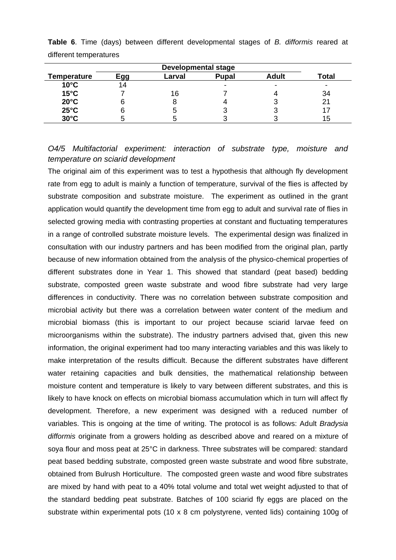| <b>Temperature</b> | <b>Adult</b><br><b>Pupal</b><br>Egg<br>Larval |    |  |   |     |  |
|--------------------|-----------------------------------------------|----|--|---|-----|--|
| $10^{\circ}$ C     | 14                                            |    |  | - | -   |  |
| $15^{\circ}$ C     |                                               | 16 |  |   | 34  |  |
| $20^{\circ}$ C     |                                               |    |  |   |     |  |
| $25^{\circ}$ C     |                                               |    |  |   |     |  |
| $30^{\circ}$ C     |                                               |    |  |   | 15. |  |
|                    |                                               |    |  |   |     |  |

**Table 6**. Time (days) between different developmental stages of *B. difformis* reared at different temperatures

# *O4/5 Multifactorial experiment: interaction of substrate type, moisture and temperature on sciarid development*

The original aim of this experiment was to test a hypothesis that although fly development rate from egg to adult is mainly a function of temperature, survival of the flies is affected by substrate composition and substrate moisture. The experiment as outlined in the grant application would quantify the development time from egg to adult and survival rate of flies in selected growing media with contrasting properties at constant and fluctuating temperatures in a range of controlled substrate moisture levels. The experimental design was finalized in consultation with our industry partners and has been modified from the original plan, partly because of new information obtained from the analysis of the physico-chemical properties of different substrates done in Year 1. This showed that standard (peat based) bedding substrate, composted green waste substrate and wood fibre substrate had very large differences in conductivity. There was no correlation between substrate composition and microbial activity but there was a correlation between water content of the medium and microbial biomass (this is important to our project because sciarid larvae feed on microorganisms within the substrate). The industry partners advised that, given this new information, the original experiment had too many interacting variables and this was likely to make interpretation of the results difficult. Because the different substrates have different water retaining capacities and bulk densities, the mathematical relationship between moisture content and temperature is likely to vary between different substrates, and this is likely to have knock on effects on microbial biomass accumulation which in turn will affect fly development. Therefore, a new experiment was designed with a reduced number of variables. This is ongoing at the time of writing. The protocol is as follows: Adult *Bradysia difformis* originate from a growers holding as described above and reared on a mixture of soya flour and moss peat at 25°C in darkness. Three substrates will be compared: standard peat based bedding substrate, composted green waste substrate and wood fibre substrate, obtained from Bulrush Horticulture. The composted green waste and wood fibre substrates are mixed by hand with peat to a 40% total volume and total wet weight adjusted to that of the standard bedding peat substrate. Batches of 100 sciarid fly eggs are placed on the substrate within experimental pots (10 x 8 cm polystyrene, vented lids) containing 100g of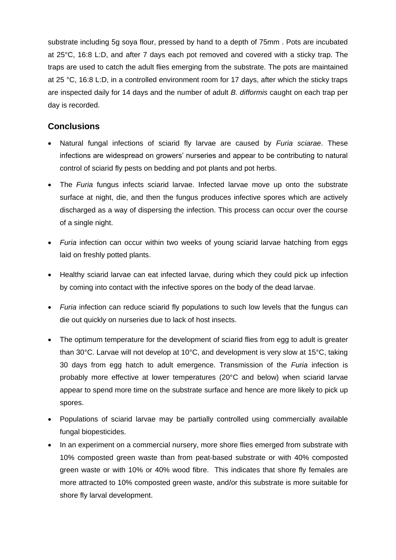substrate including 5g soya flour, pressed by hand to a depth of 75mm . Pots are incubated at 25°C, 16:8 L:D, and after 7 days each pot removed and covered with a sticky trap. The traps are used to catch the adult flies emerging from the substrate. The pots are maintained at 25 °C, 16:8 L:D, in a controlled environment room for 17 days, after which the sticky traps are inspected daily for 14 days and the number of adult *B. difformis* caught on each trap per day is recorded.

# **Conclusions**

- Natural fungal infections of sciarid fly larvae are caused by *Furia sciarae*. These infections are widespread on growers' nurseries and appear to be contributing to natural control of sciarid fly pests on bedding and pot plants and pot herbs.
- The *Furia* fungus infects sciarid larvae. Infected larvae move up onto the substrate surface at night, die, and then the fungus produces infective spores which are actively discharged as a way of dispersing the infection. This process can occur over the course of a single night.
- *Furia* infection can occur within two weeks of young sciarid larvae hatching from eggs laid on freshly potted plants.
- Healthy sciarid larvae can eat infected larvae, during which they could pick up infection by coming into contact with the infective spores on the body of the dead larvae.
- Furia infection can reduce sciarid fly populations to such low levels that the fungus can die out quickly on nurseries due to lack of host insects.
- The optimum temperature for the development of sciarid flies from egg to adult is greater than 30°C. Larvae will not develop at 10°C, and development is very slow at 15°C, taking 30 days from egg hatch to adult emergence. Transmission of the *Furia* infection is probably more effective at lower temperatures (20°C and below) when sciarid larvae appear to spend more time on the substrate surface and hence are more likely to pick up spores.
- Populations of sciarid larvae may be partially controlled using commercially available fungal biopesticides.
- In an experiment on a commercial nursery, more shore flies emerged from substrate with 10% composted green waste than from peat-based substrate or with 40% composted green waste or with 10% or 40% wood fibre. This indicates that shore fly females are more attracted to 10% composted green waste, and/or this substrate is more suitable for shore fly larval development.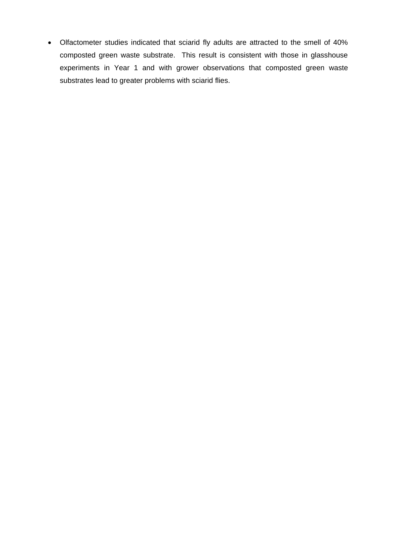Olfactometer studies indicated that sciarid fly adults are attracted to the smell of 40% composted green waste substrate. This result is consistent with those in glasshouse experiments in Year 1 and with grower observations that composted green waste substrates lead to greater problems with sciarid flies.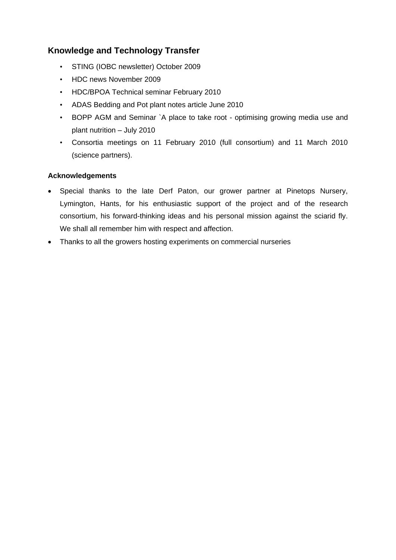# **Knowledge and Technology Transfer**

- STING (IOBC newsletter) October 2009
- HDC news November 2009
- HDC/BPOA Technical seminar February 2010
- ADAS Bedding and Pot plant notes article June 2010
- BOPP AGM and Seminar `A place to take root optimising growing media use and plant nutrition – July 2010
- Consortia meetings on 11 February 2010 (full consortium) and 11 March 2010 (science partners).

## **Acknowledgements**

- Special thanks to the late Derf Paton, our grower partner at Pinetops Nursery, Lymington, Hants, for his enthusiastic support of the project and of the research consortium, his forward-thinking ideas and his personal mission against the sciarid fly. We shall all remember him with respect and affection.
- Thanks to all the growers hosting experiments on commercial nurseries